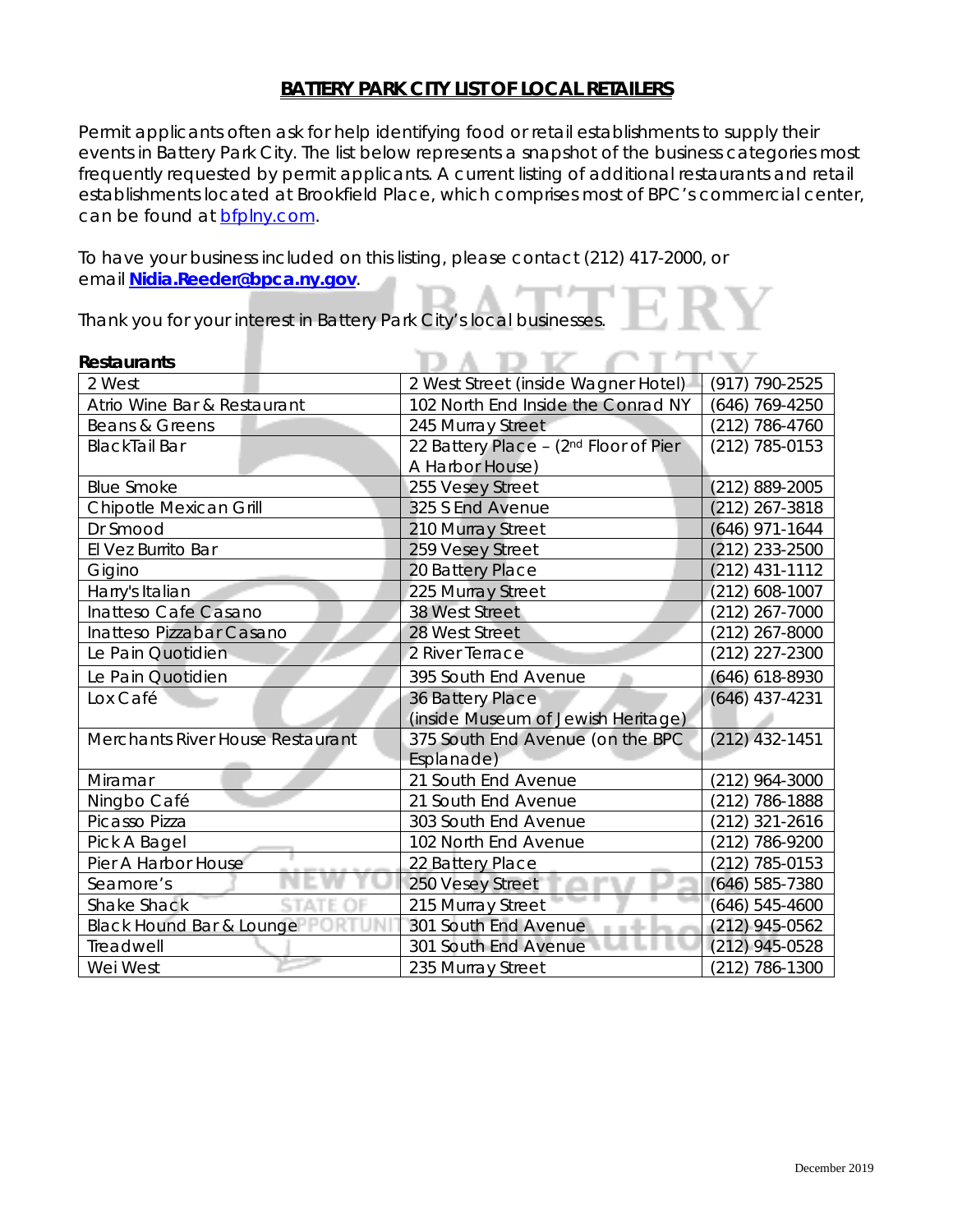### **BATTERY PARK CITY LIST OF LOCAL RETAILERS**

Permit applicants often ask for help identifying food or retail establishments to supply their events in Battery Park City. The list below represents a snapshot of the business categories most frequently requested by permit applicants. A current listing of additional restaurants and retail establishments located at Brookfield Place, which comprises most of BPC's commercial center, can be found at **bfplny**.com.

To have your business included on this listing, please contact (212) 417-2000, or email **[Nidia.Reeder@bpca.ny.gov](mailto:Nidia.Reeder@bpca.ny.gov)**.

Thank you for your interest in Battery Park City's local businesses.

| <b>Restaurants</b>               |                                       |                  |
|----------------------------------|---------------------------------------|------------------|
| 2 West                           | 2 West Street (inside Wagner Hotel)   | (917) 790-2525   |
| Atrio Wine Bar & Restaurant      | 102 North End Inside the Conrad NY    | (646) 769-4250   |
| Beans & Greens                   | 245 Murray Street                     | $(212)$ 786-4760 |
| <b>BlackTail Bar</b>             | 22 Battery Place - (2nd Floor of Pier | $(212)$ 785-0153 |
|                                  | A Harbor House)                       |                  |
| <b>Blue Smoke</b>                | 255 Vesey Street                      | (212) 889-2005   |
| Chipotle Mexican Grill           | 325 S End Avenue                      | $(212)$ 267-3818 |
| Dr Smood                         | 210 Murray Street                     | $(646)$ 971-1644 |
| El Vez Burrito Bar               | 259 Vesey Street                      | $(212)$ 233-2500 |
| Gigino                           | 20 Battery Place                      | $(212)$ 431-1112 |
| Harry's Italian                  | 225 Murray Street                     | $(212)$ 608-1007 |
| Inatteso Cafe Casano             | 38 West Street                        | (212) 267-7000   |
| Inatteso Pizzabar Casano         | 28 West Street                        | (212) 267-8000   |
| Le Pain Quotidien                | 2 River Terrace                       | (212) 227-2300   |
| Le Pain Quotidien                | 395 South End Avenue                  | $(646)$ 618-8930 |
| Lox Café                         | 36 Battery Place                      | $(646)$ 437-4231 |
|                                  | (inside Museum of Jewish Heritage)    |                  |
| Merchants River House Restaurant | 375 South End Avenue (on the BPC      | $(212)$ 432-1451 |
|                                  | Esplanade)                            |                  |
| Miramar                          | 21 South End Avenue                   | (212) 964-3000   |
| Ningbo Café                      | 21 South End Avenue                   | (212) 786-1888   |
| Picasso Pizza                    | 303 South End Avenue                  | (212) 321-2616   |
| Pick A Bagel                     | 102 North End Avenue                  | (212) 786-9200   |
| Pier A Harbor House              | 22 Battery Place                      | (212) 785-0153   |
| Seamore's                        | 250 Vesey Street                      | $(646)$ 585-7380 |
| <b>Shake Shack</b>               | 215 Murray Street                     | (646) 545-4600   |
| Black Hound Bar & Lounge         | 301 South End Avenue                  | (212) 945-0562   |
| Treadwell                        | 301 South End Avenue                  | $(212)$ 945-0528 |
| Wei West                         | 235 Murray Street                     | (212) 786-1300   |

#### *Restaurants*